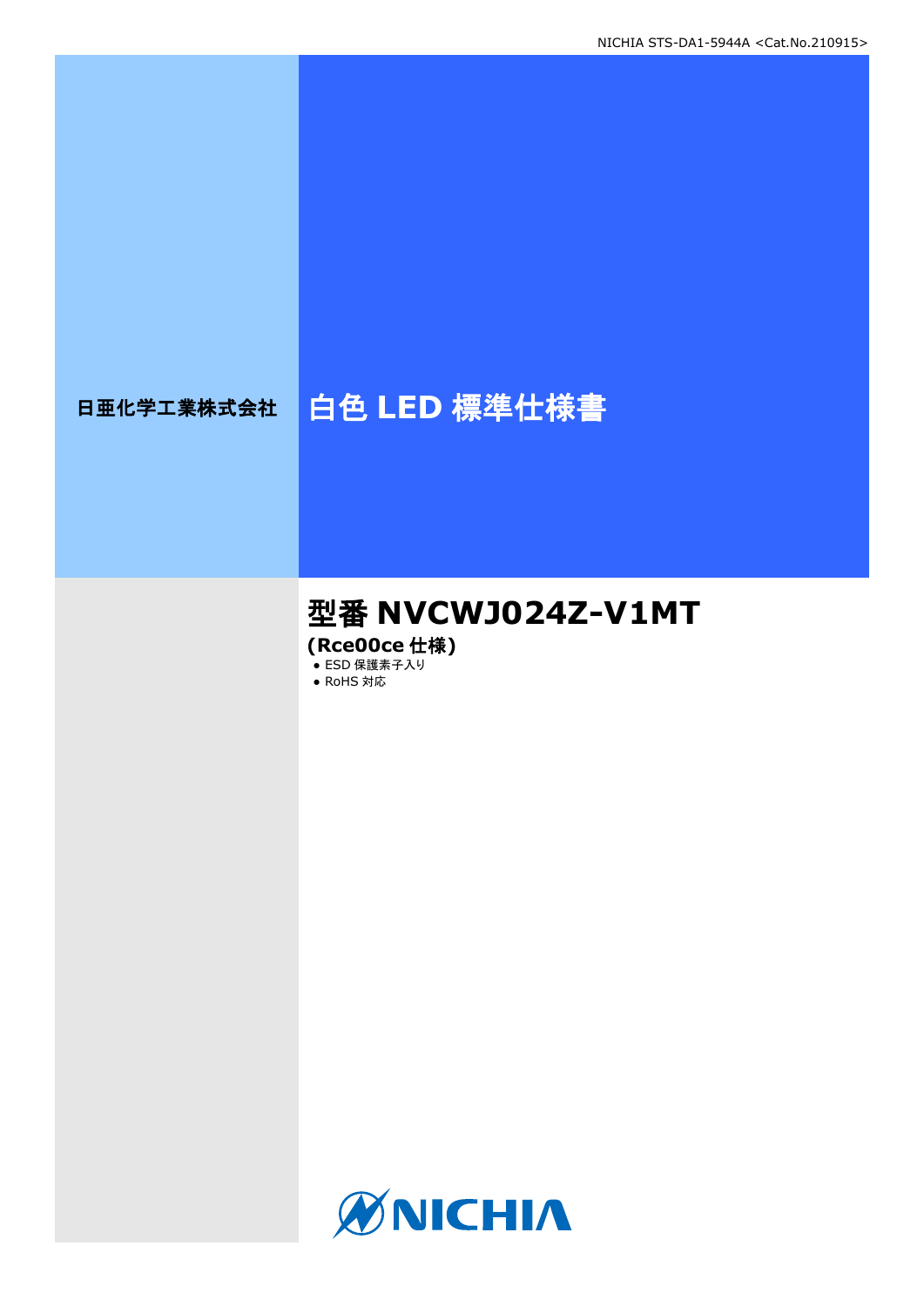# 日亜化学工業株式会社 | 白色 LED 標準仕様書

# 型番 **NVCWJ024Z-V1MT**

**(Rce00ce** 仕様**)**

• ESD 保護素子入り ● RoHS 対応

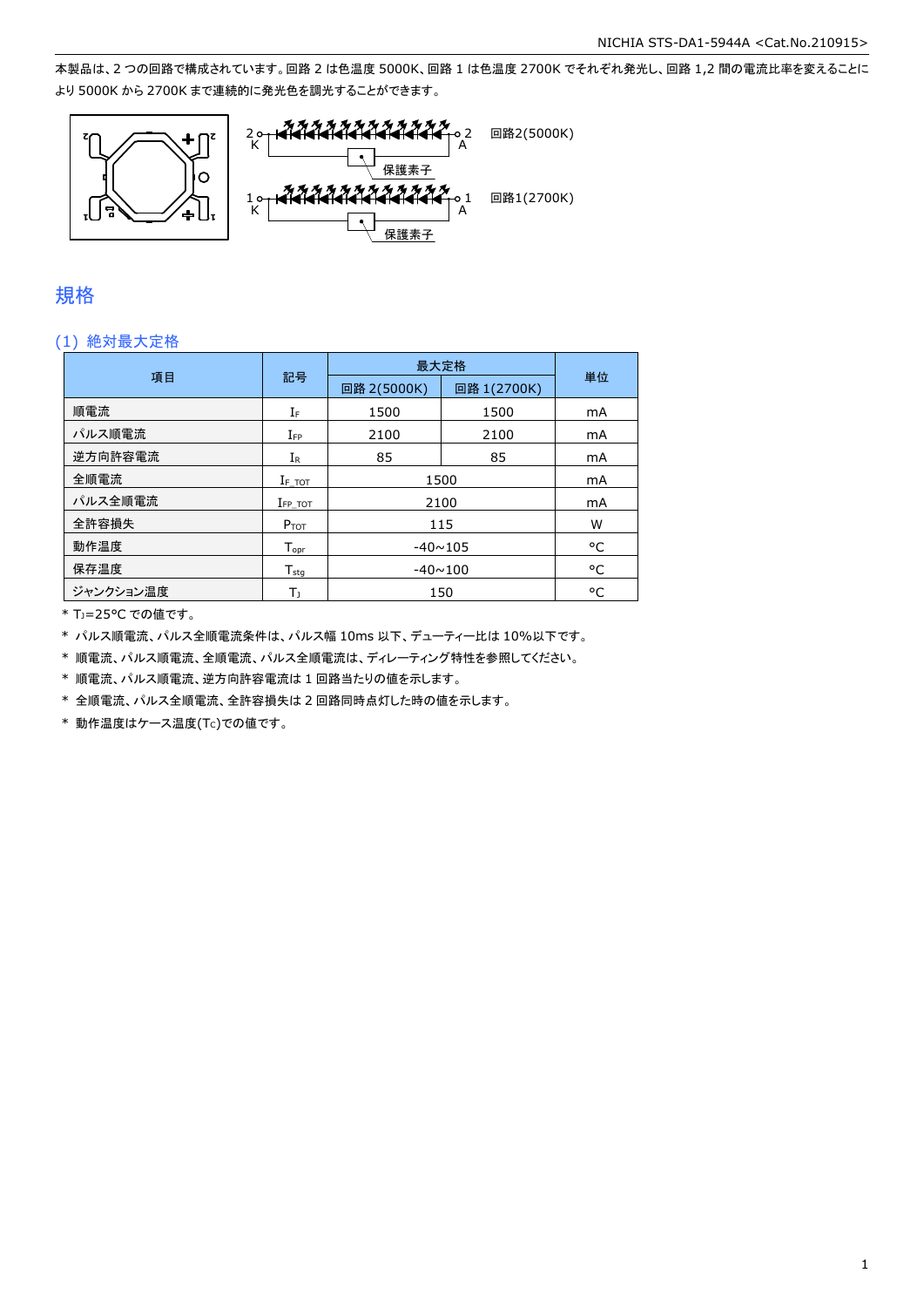本製品は、2 つの回路で構成されています。回路 2 は色温度 5000K、回路 1 は色温度 2700K でそれぞれ発光し、回路 1,2 間の電流比率を変えることに より 5000K から 2700K まで連続的に発光色を調光することができます。



### 規格

#### (1) 絶対最大定格

|           |                    | 最大定格           |             |    |
|-----------|--------------------|----------------|-------------|----|
| 項目        | 記号                 | 回路 2(5000K)    | 回路 1(2700K) | 単位 |
| 順電流       | ΙF                 | 1500           | 1500        | mA |
| パルス順電流    | $I_{FP}$           | 2100           | 2100        | mA |
| 逆方向許容電流   | $I_{\mathsf{R}}$   | 85             | 85          | mA |
| 全順電流      | $I_{F\_TOT}$       | 1500           | mA          |    |
| パルス全順電流   | $I_{FP}$ tot       | 2100           | mA          |    |
| 全許容損失     | $P_{TOT}$          | 115            | W           |    |
| 動作温度      | $T_{\mathsf{opr}}$ | $-40 \sim 105$ | °C          |    |
| 保存温度      | $T_{\rm stq}$      | $-40 \sim 100$ |             | °C |
| ジャンクション温度 | T,                 |                | 150         | °C |

\* TJ=25°C での値です。

\* パルス順電流、パルス全順電流条件は、パルス幅 10ms 以下、デューティー比は 10%以下です。

\* 順電流、パルス順電流、全順電流、パルス全順電流は、ディレーティング特性を参照してください。

\* 順電流、パルス順電流、逆方向許容電流は 1 回路当たりの値を示します。

\* 全順電流、パルス全順電流、全許容損失は 2 回路同時点灯した時の値を示します。

 $*$ 動作温度はケース温度(Tc)での値です。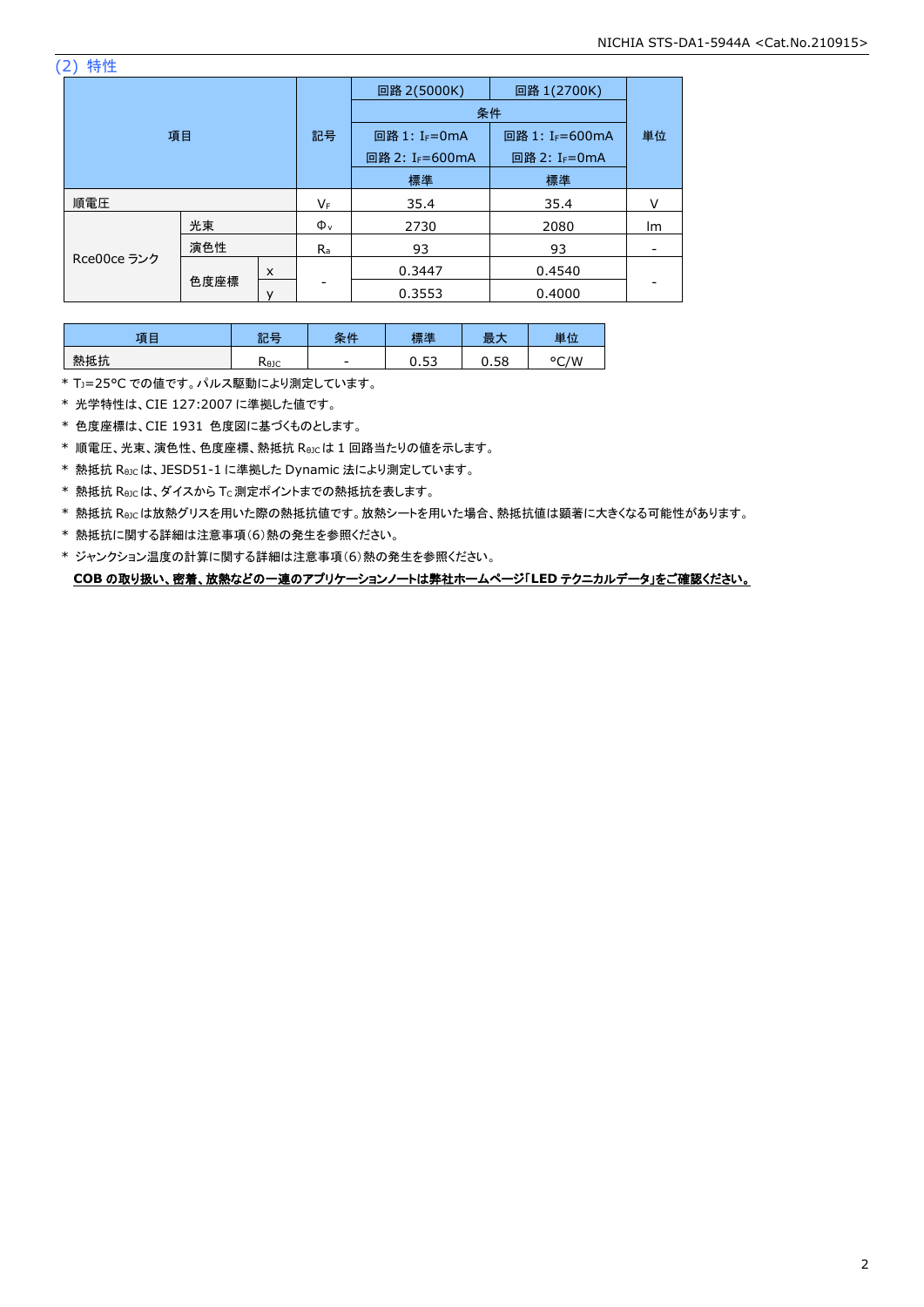(2) 特性

| 項目          |      |    | 回路 2(5000K)               | 回路 1(2700K)               |        |    |
|-------------|------|----|---------------------------|---------------------------|--------|----|
|             |      |    | 条件                        |                           |        |    |
|             |      | 記号 | 回路 1: I <sub>F</sub> =0mA | 回路 1: IF=600mA            | 単位     |    |
|             |      |    | 回路 2: IF=600mA            | 回路 2: I <sub>F</sub> =0mA |        |    |
|             |      |    | 標準                        | 標準                        |        |    |
| 順電圧         |      | VF | 35.4                      | 35.4                      | v      |    |
|             | 光束   |    | $\Phi_{v}$                | 2730                      | 2080   | lm |
|             | 演色性  |    | $R_{a}$                   | 93                        | 93     |    |
| Rce00ce ランク |      | X  |                           | 0.3447                    | 0.4540 |    |
|             | 色度座標 |    |                           | 0.3553                    | 0.4000 |    |

| $-15F$ | 龍星<br>āĽ | H<br>$\overline{v}$<br>ᄉ | 一進          | 取.           | 単位                  |
|--------|----------|--------------------------|-------------|--------------|---------------------|
| 熱抵抗    | Kejc     | -                        | $-$<br>ບ.ບບ | r o<br>u. Jo | / M<br>$\circ$<br>∽ |

\* TJ=25°C での値です。パルス駆動により測定しています。

\* 光学特性は、CIE 127:2007 に準拠した値です。

\* 色度座標は、CIE 1931 色度図に基づくものとします。

\* 順電圧、光束、演色性、色度座標、熱抵抗 RθJCは 1 回路当たりの値を示します。

\* 熱抵抗 RθJCは、JESD51-1 に準拠した Dynamic 法により測定しています。

\* 熱抵抗 Rejcは、ダイスから Tc 測定ポイントまでの熱抵抗を表します。

\* 熱抵抗 RθJCは放熱グリスを用いた際の熱抵抗値です。放熱シートを用いた場合、熱抵抗値は顕著に大きくなる可能性があります。

\* 熱抵抗に関する詳細は注意事項(6)熱の発生を参照ください。

\* ジャンクション温度の計算に関する詳細は注意事項(6)熱の発生を参照ください。 **COB** の取り扱い、密着、放熱などの一連のアプリケーションノートは弊社ホームページ「**LED** テクニカルデータ」をご確認ください。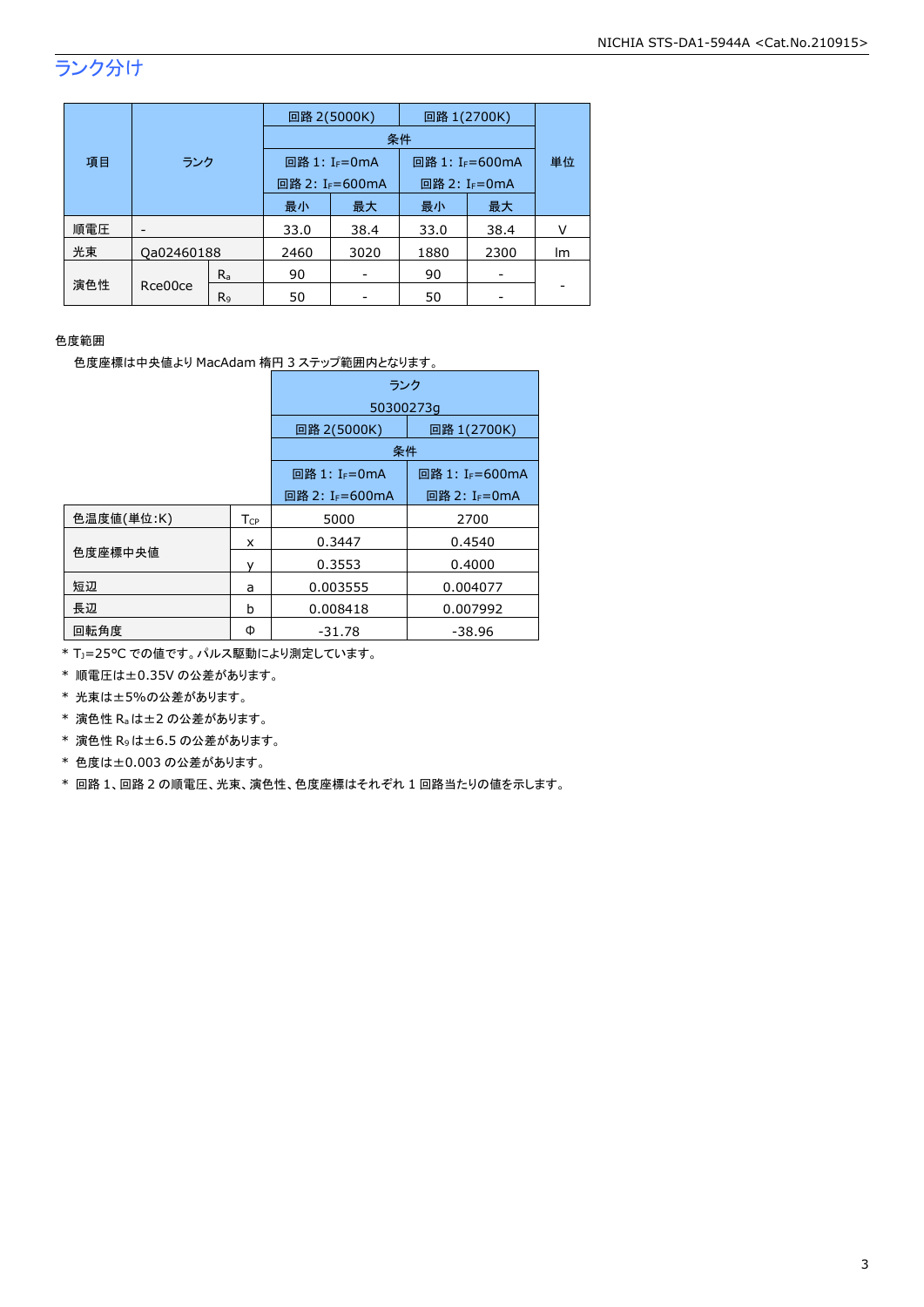# ランク分け

|     | 項目<br>ランク  |                |      | 回路 2(5000K)                 | 回路 1(2700K)                 |      |    |
|-----|------------|----------------|------|-----------------------------|-----------------------------|------|----|
|     |            |                |      |                             | 条件                          |      |    |
|     |            |                |      | 回路 1: I <sub>F</sub> =0mA   | 回路 1: I <sub>F</sub> =600mA |      | 単位 |
|     |            |                |      | 回路 2: I <sub>F</sub> =600mA | 回路 2: I <sub>F</sub> =0mA   |      |    |
|     |            |                | 最小   | 最大                          | 最小                          | 最大   |    |
| 順電圧 |            |                | 33.0 | 38.4                        | 33.0                        | 38.4 |    |
| 光束  | Qa02460188 |                | 2460 | 3020                        | 1880                        | 2300 | Im |
|     |            | $R_{a}$        | 90   |                             | 90                          |      |    |
| 演色性 | Rce00ce    | R <sub>9</sub> | 50   |                             | 50                          |      |    |

#### 色度範囲

色度座標は中央値より MacAdam 楕円 3 ステップ範囲内となります。

|            |                        | ランク                         |                             |  |  |
|------------|------------------------|-----------------------------|-----------------------------|--|--|
|            |                        | 50300273q                   |                             |  |  |
|            |                        | 回路 2(5000K)                 | 回路 1(2700K)                 |  |  |
|            |                        | 条件                          |                             |  |  |
|            |                        | 回路 1: I <sub>F</sub> =0mA   | 回路 1: I <sub>F</sub> =600mA |  |  |
|            |                        | 回路 2: I <sub>F</sub> =600mA | 回路 2: I <sub>F</sub> =0mA   |  |  |
| 色温度値(単位:K) | <b>T</b> <sub>CP</sub> | 5000                        | 2700                        |  |  |
|            | x                      | 0.3447                      | 0.4540                      |  |  |
| 色度座標中央値    |                        | 0.3553                      | 0.4000                      |  |  |
| 短辺         | a                      | 0.003555                    | 0.004077                    |  |  |
| 長辺         | b                      | 0.008418                    | 0.007992                    |  |  |
| 回転角度       | Φ                      | $-31.78$                    | $-38.96$                    |  |  |

\* TJ=25°C での値です。パルス駆動により測定しています。

\* 順電圧は±0.35V の公差があります。

\* 光束は±5%の公差があります。

\* 演色性 Raは±2 の公差があります。

\* 演色性 R9は±6.5 の公差があります。

\* 色度は±0.003 の公差があります。

\* 回路 1、回路 2 の順電圧、光束、演色性、色度座標はそれぞれ 1 回路当たりの値を示します。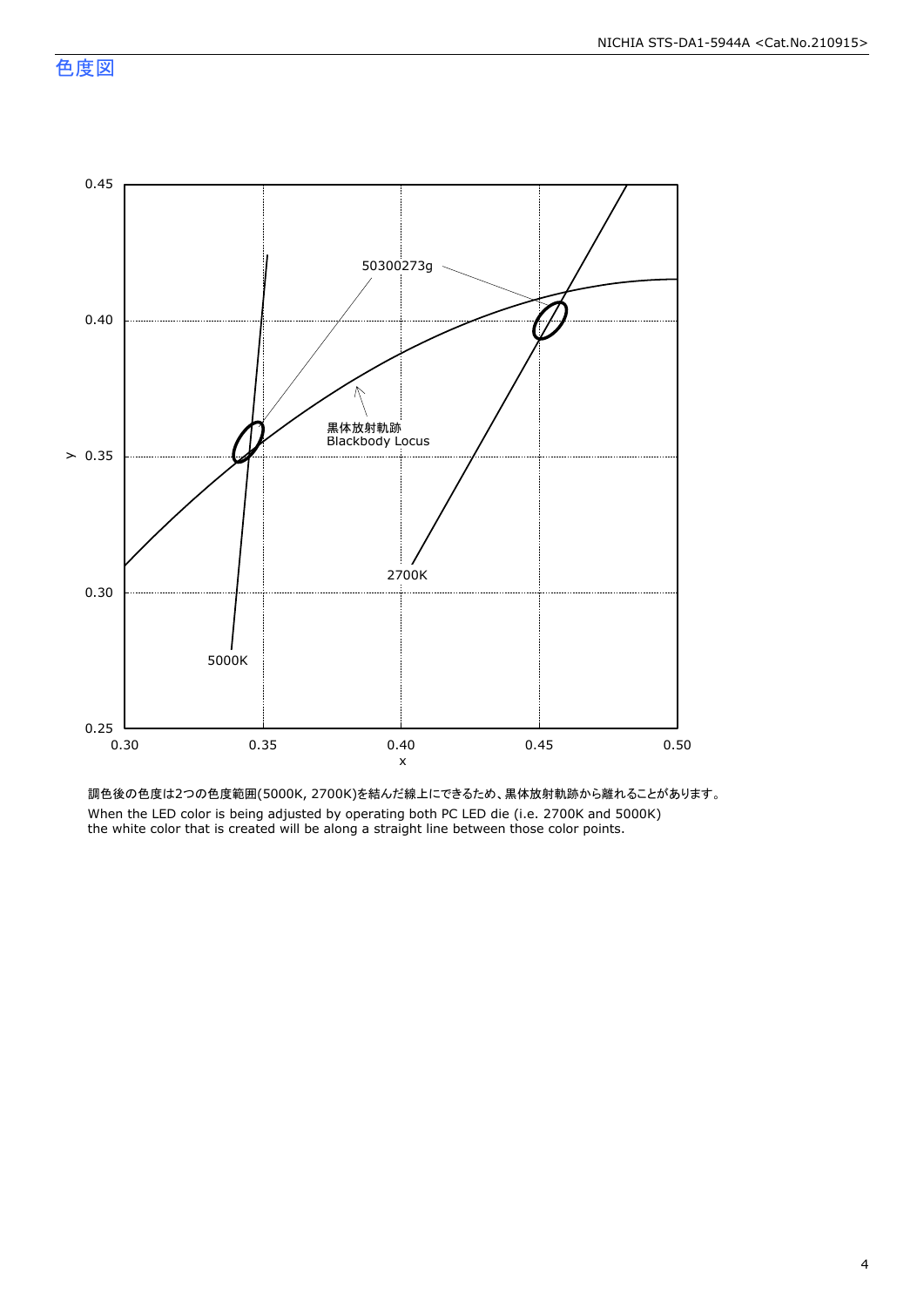

調色後の色度は2つの色度範囲(5000K, 2700K)を結んだ線上にできるため、黒体放射軌跡から離れることがあります。 When the LED color is being adjusted by operating both PC LED die (i.e. 2700K and 5000K) the white color that is created will be along a straight line between those color points.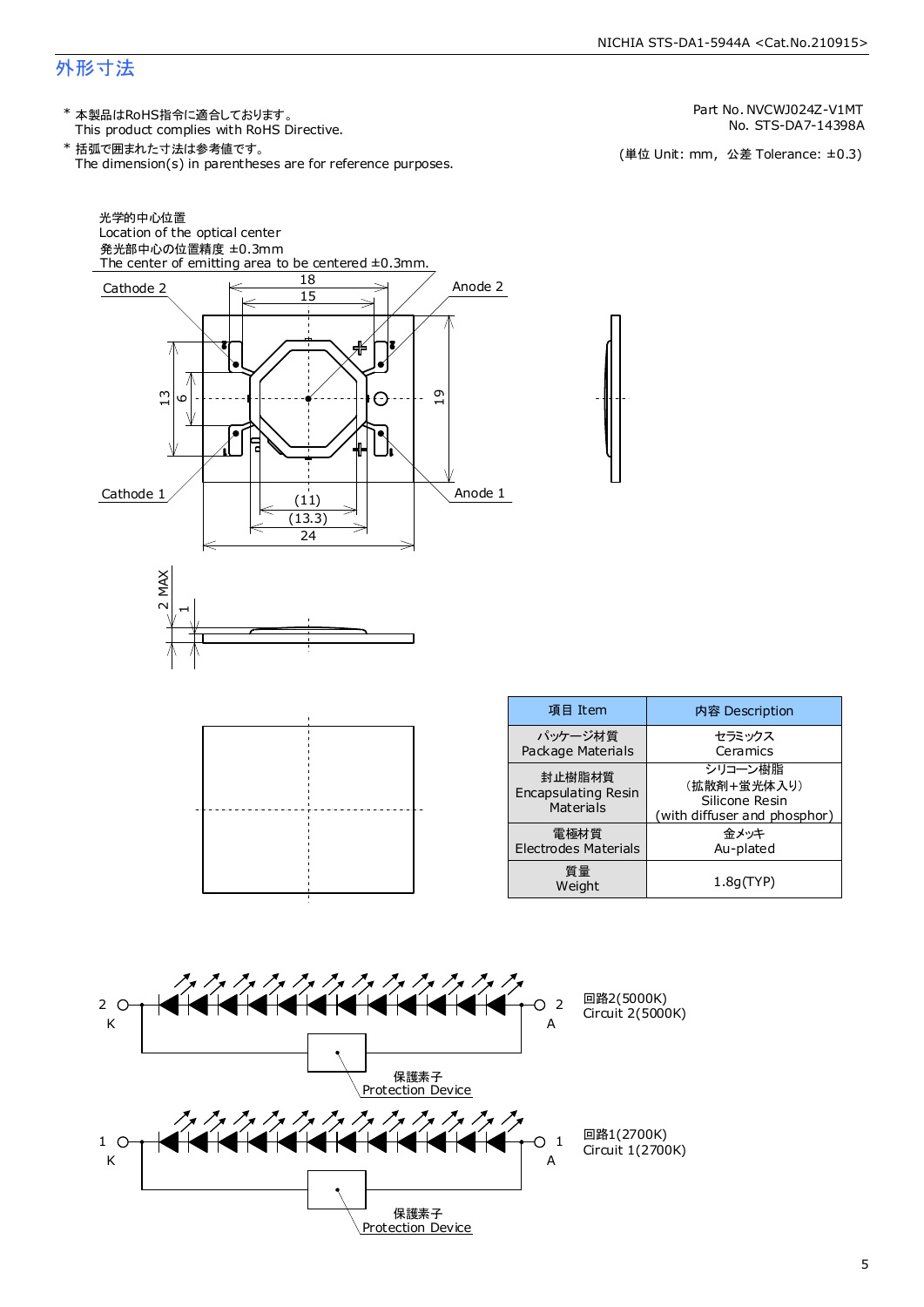## 外形寸法

This product complies with RoHS Directive. \* 本製品はRoHS指令に適合しております。

The dimension(s) in parentheses are for reference purposes. \* 括弧で囲まれた寸法は参考値です。

No. STS-DA7-14398A Part No. NVCWJ024Z-V1MT

(単位 Unit: mm) (単位 Unit: mm, 公差 Tolerance: ±0.3)

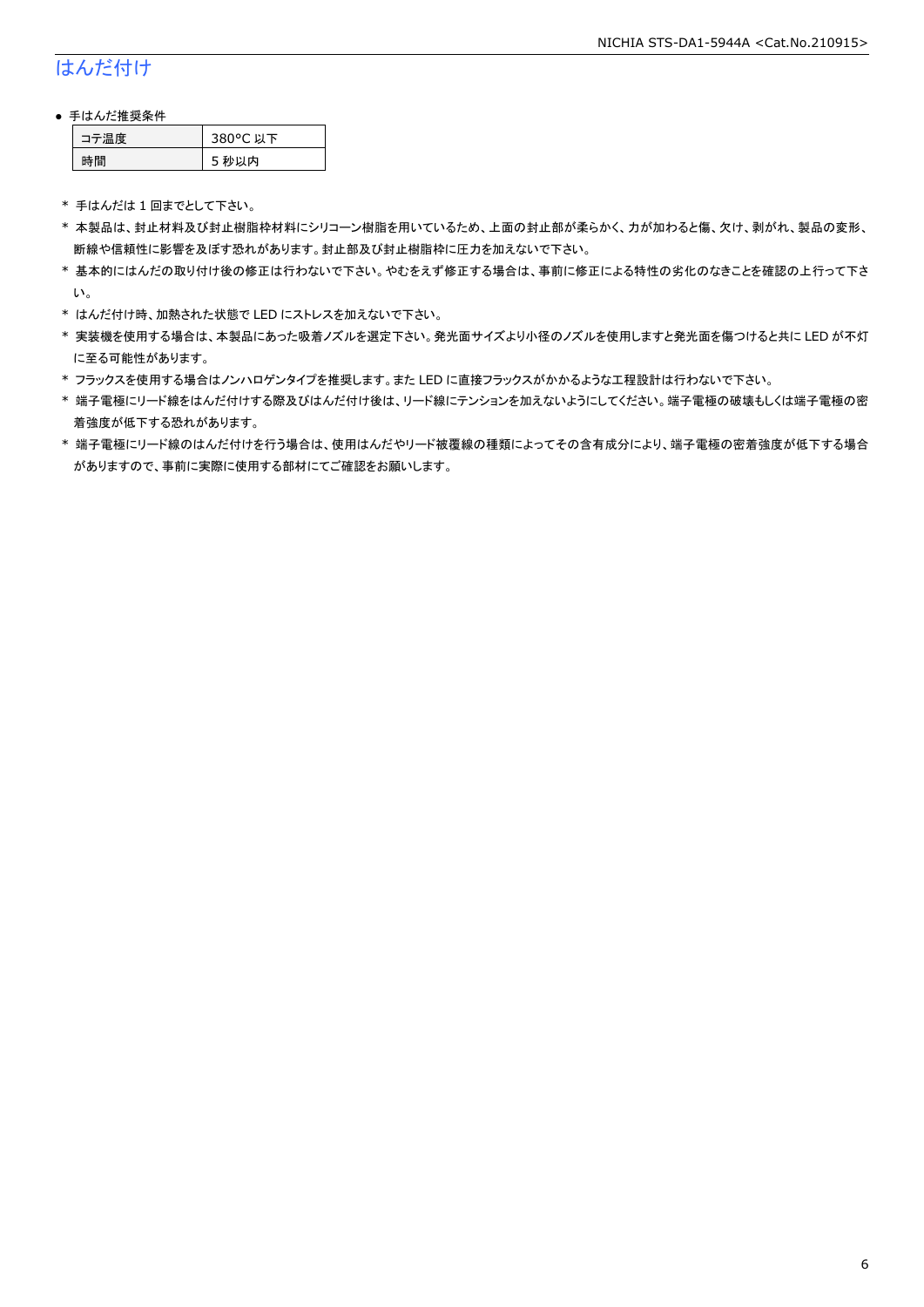# はんだ付け

#### ● 手はんだ推奨条件

| →黒度── | 380°C 以下 |
|-------|----------|
| æ     | 秒以内<br>∍ |

\* 手はんだは 1 回までとして下さい。

- \* 本製品は、封止材料及び封止樹脂枠材料にシリコーン樹脂を用いているため、上面の封止部が柔らかく、力が加わると傷、欠け、剥がれ、製品の変形、 断線や信頼性に影響を及ぼす恐れがあります。封止部及び封止樹脂枠に圧力を加えないで下さい。
- \* 基本的にはんだの取り付け後の修正は行わないで下さい。やむをえず修正する場合は、事前に修正による特性の劣化のなきことを確認の上行って下さ い。
- \* はんだ付け時、加熱された状態で LED にストレスを加えないで下さい。
- \* 実装機を使用する場合は、本製品にあった吸着ノズルを選定下さい。発光面サイズより小径のノズルを使用しますと発光面を傷つけると共に LED が不灯 に至る可能性があります。
- \* フラックスを使用する場合はノンハロゲンタイプを推奨します。また LED に直接フラックスがかかるような工程設計は行わないで下さい。
- \* 端子電極にリード線をはんだ付けする際及びはんだ付け後は、リード線にテンションを加えないようにしてください。端子電極の破壊もしくは端子電極の密 着強度が低下する恐れがあります。
- \* 端子電極にリード線のはんだ付けを行う場合は、使用はんだやリード被覆線の種類によってその含有成分により、端子電極の密着強度が低下する場合 がありますので、事前に実際に使用する部材にてご確認をお願いします。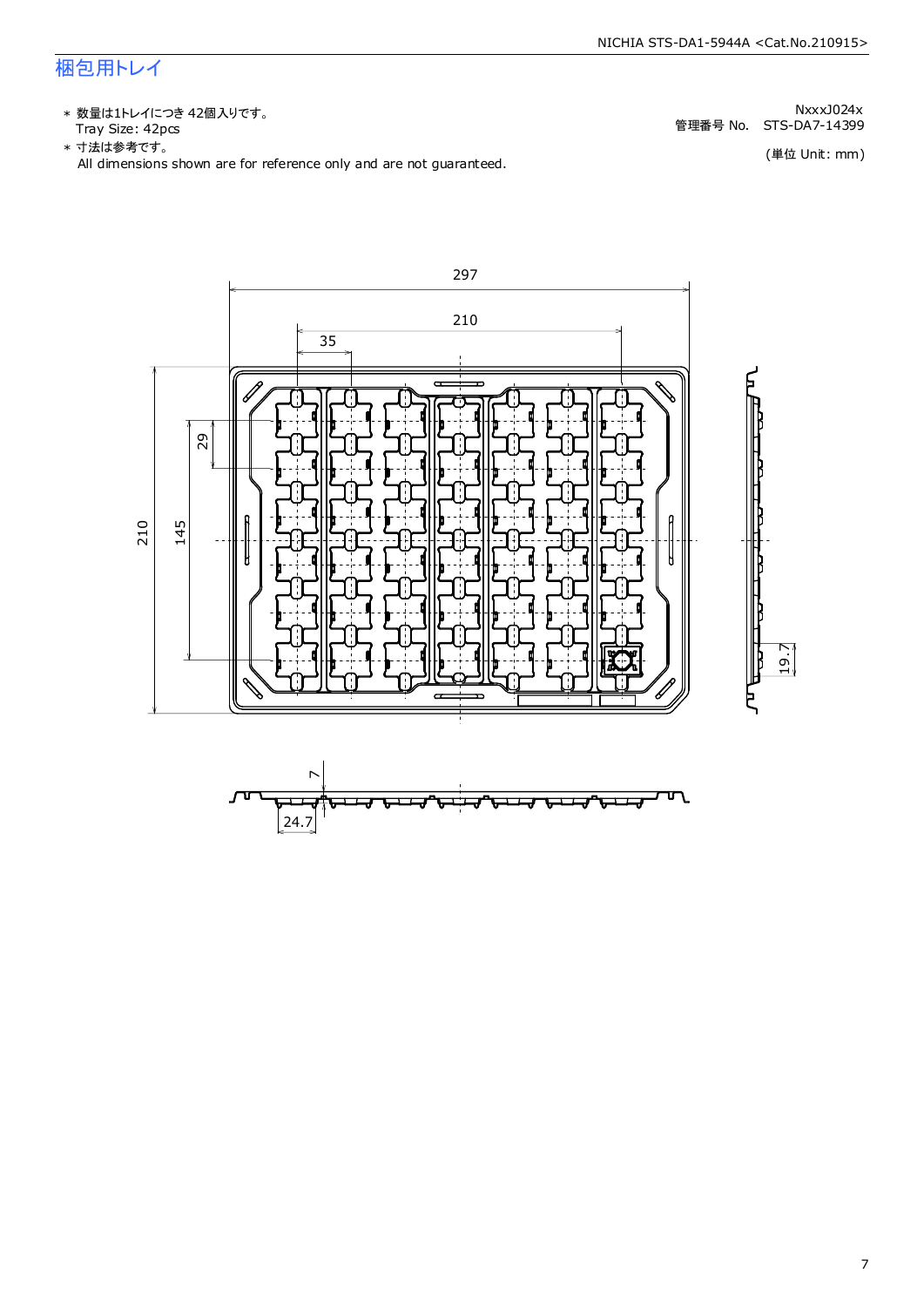# 梱包用トレイ

\* 数量は1トレイにつき 42個入りです。<br>Tray Size: 42pcs Tray Size: 42pcs 管理番号 No. STS-DA7-14399

All dimensions shown are for reference only and are not guaranteed. \* 寸法は参考です。

NxxxJ024x

(単位 Unit: mm)

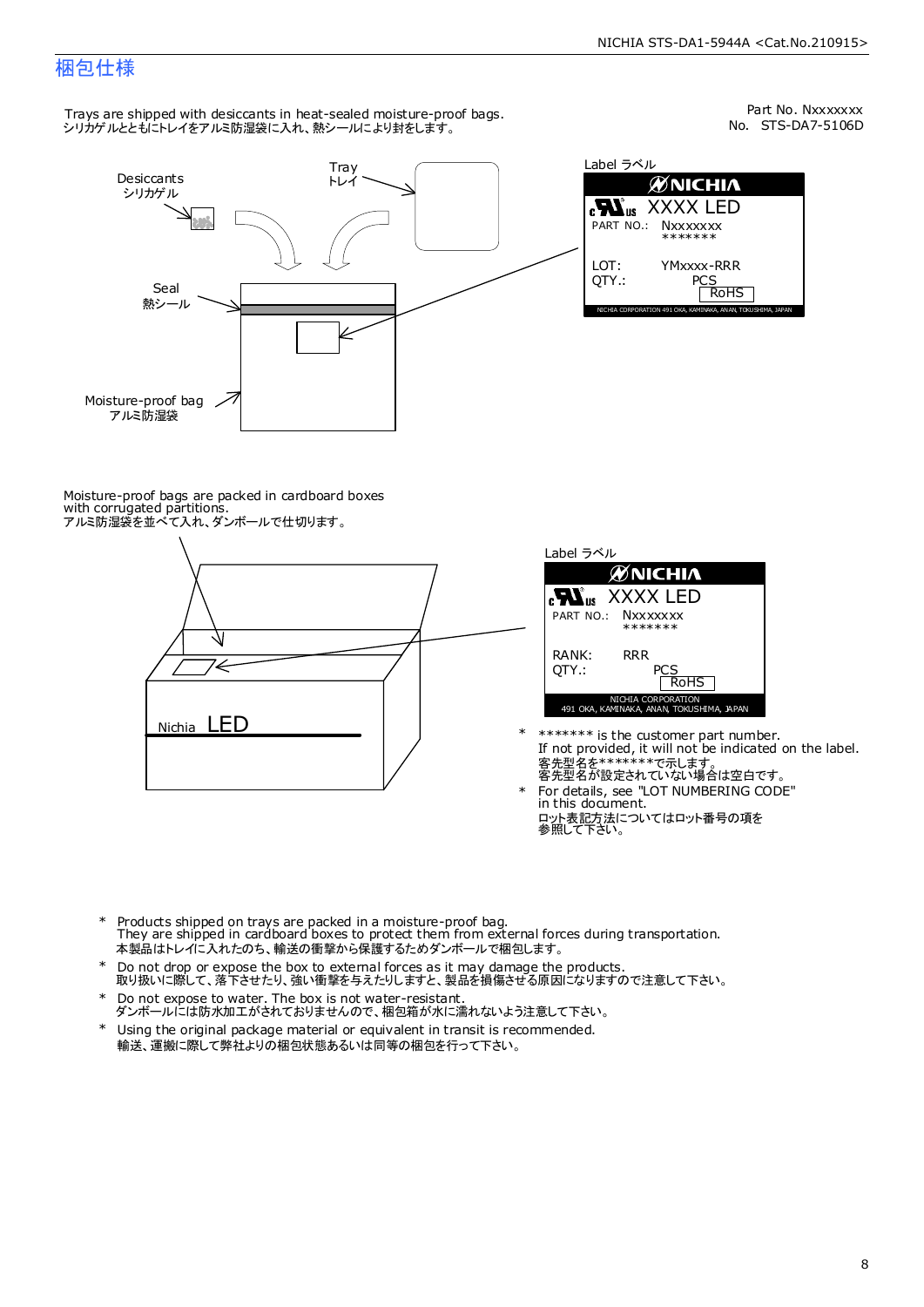# 梱包仕様

Trays are shipped with desiccants in heat-sealed moisture-proof bags. - hays are smpped man aesteams in heat sealed moletare pro<br>シリカゲルとともにトレイをアルミ防湿袋に入れ、熱シールにより封をします。



No. STS-DA7-5106D Part No. Nxxxxxxx

| Label ラベル                                                    |
|--------------------------------------------------------------|
| <b>MNICHIA</b>                                               |
| <b>Nus</b> XXXX LED<br>PART NO.: NXXXXXXX<br>*******         |
| LOT:<br>YMxxxx-RRR<br>OTY.:<br>PCS<br><b>RoHS</b>            |
| NICHIA CORPORATION 491 OKA, KAMINAKA, ANAN, TOKUSHIMA, JAPAN |

Moisture-proof bags are packed in cardboard boxes with corrugated partitions. アルミ防湿袋を並べて入れ、ダンボールで仕切ります。



![](_page_8_Figure_8.jpeg)

- If not provided, it will not be indicated on the label. \*\*\*\*\*\*\* is the customer part number. 客先型名が設定されていない場合は空白です。 客先型名を\*\*\*\*\*\*\*で示します。
- ロット表記方法についてはロット番号の項を<br>参照して下さい。 For details, see "LOT NUMBERING CODE" in this document. \*

\*

- \* Products shipped on trays are packed in a moisture-proof bag. They are shipped in cardboard boxes to protect them from external forces during transportation. 本製品はトレイに入れたのち、輸送の衝撃から保護するためダンボールで梱包します。
- Do not drop or expose the box to external forces as it may damage the products. 取り扱いに際して、落下させたり、強い衝撃を与えたりしますと、製品を損傷させる原因になりますので注意して下さい。 \*
- Do not expose to water. The box is not water-resistant. \*
- ダンボールには防水加工がされておりませんので、梱包箱が水に濡れないよう注意して下さい。 Using the original package material or equivalent in transit is recommended.
- \* 輸送、運搬に際して弊社よりの梱包状態あるいは同等の梱包を行って下さい。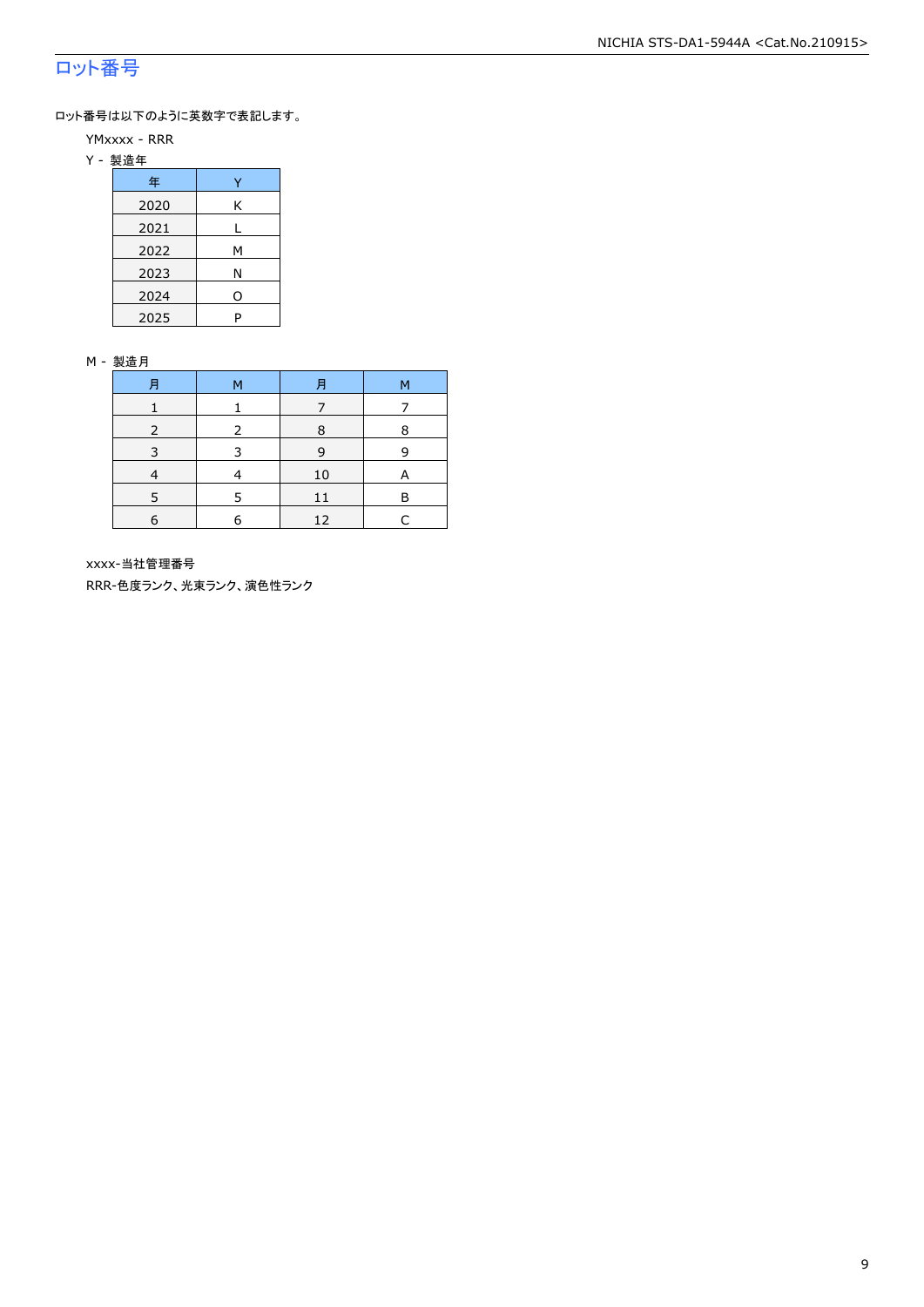# ロット番号

ロット番号は以下のように英数字で表記します。

- YMxxxx RRR
- Y 製造年

| 年    |   |
|------|---|
| 2020 | Κ |
| 2021 |   |
| 2022 | м |
| 2023 | Ν |
| 2024 | 0 |
| 2025 | P |

#### M - 製造月

| 月 | м | 月  | м |
|---|---|----|---|
|   |   |    |   |
|   |   | 8  | 8 |
| 3 | २ | 9  | q |
|   |   | 10 |   |
| ς |   | 11 | в |
| 6 | a | 12 |   |

xxxx-当社管理番号

RRR-色度ランク、光束ランク、演色性ランク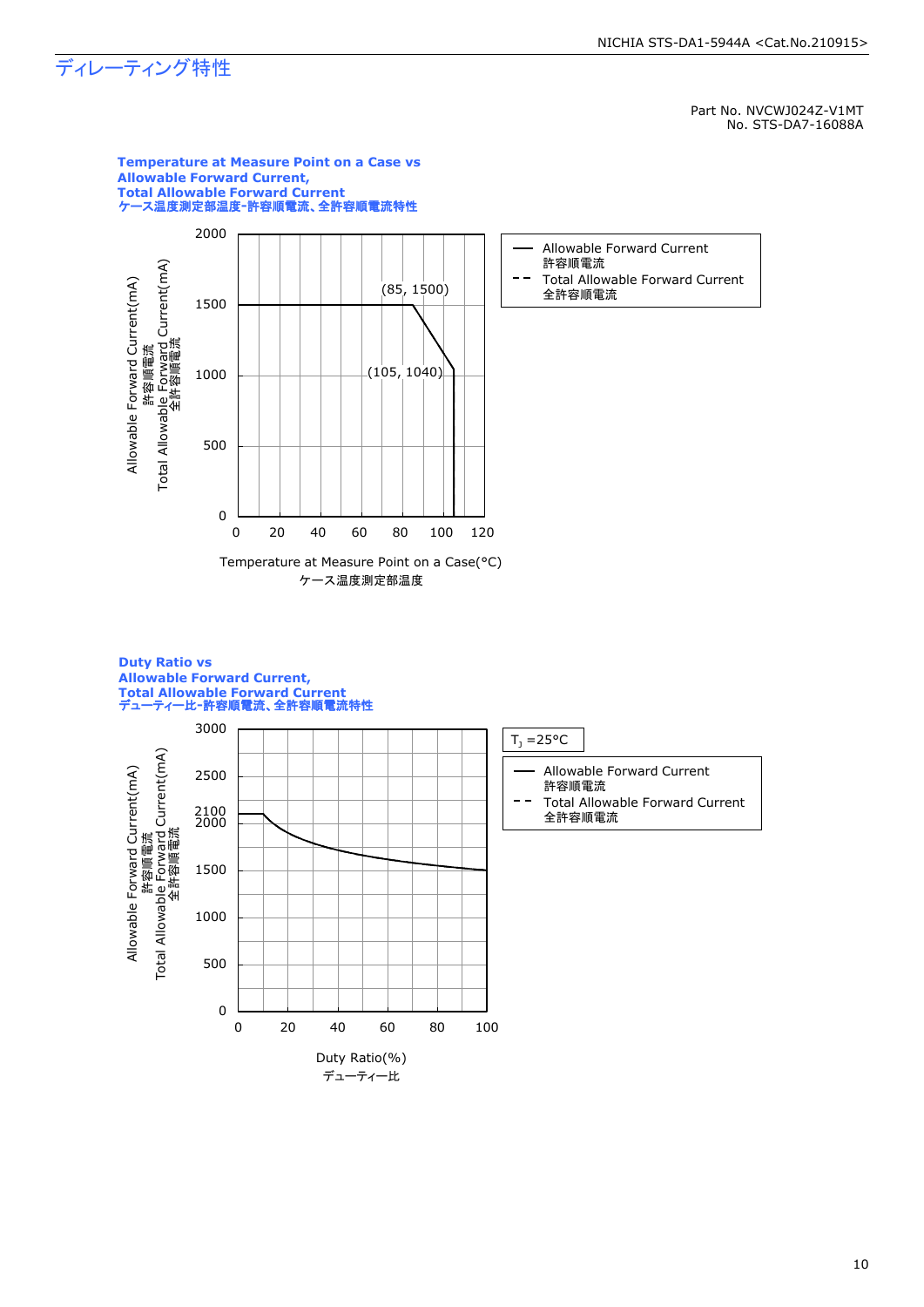# ディレーティング特性

0

0 20 40 60 80 100

Duty Ratio(%) デューティー比

500

Part No. NVCWJ024Z-V1MT No. STS-DA7-16088A

![](_page_10_Figure_3.jpeg)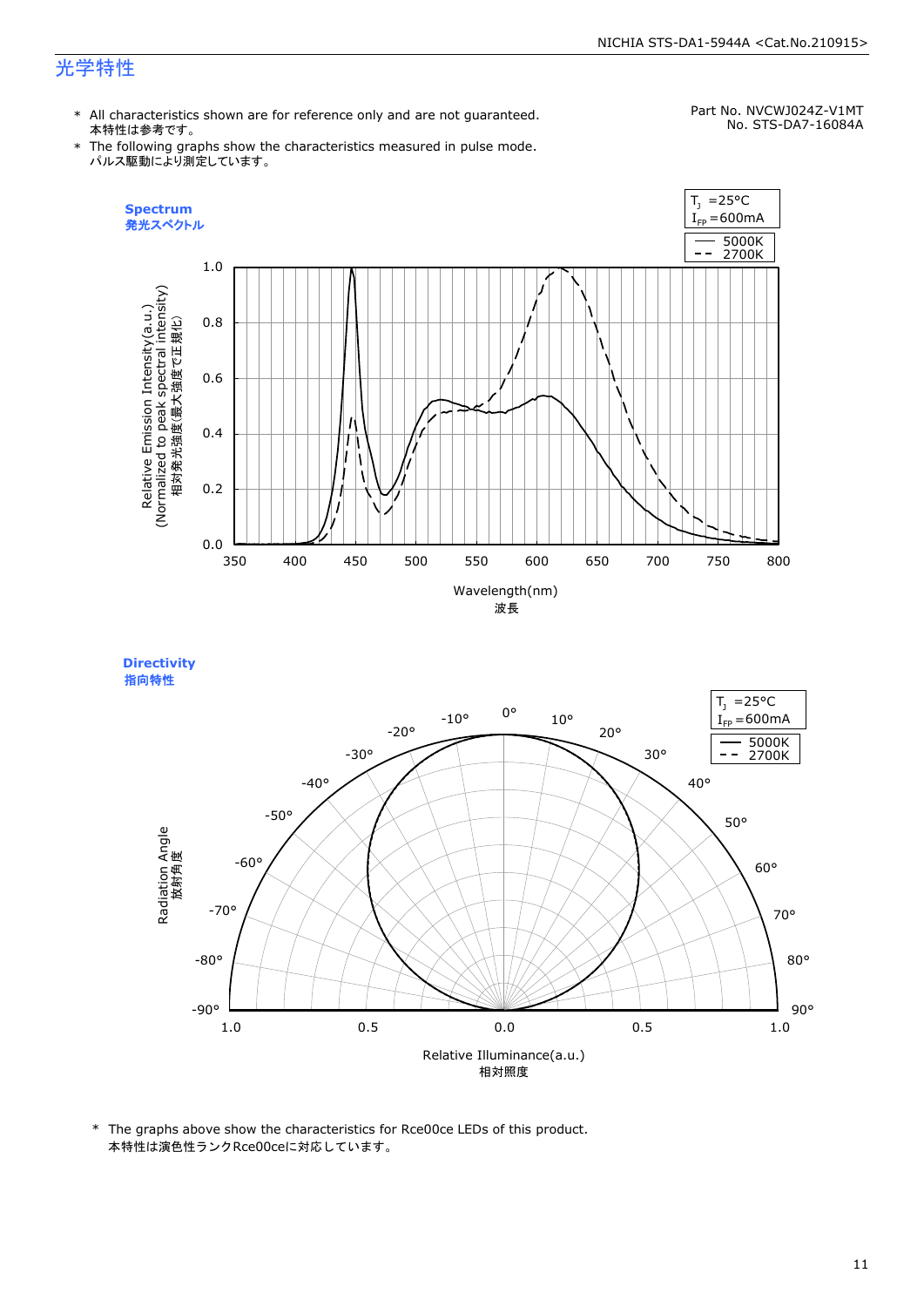# 光学特性

\* All characteristics shown are for reference only and are not guaranteed. 本特性は参考です。

#### Part No. NVCWJ024Z-V1MT No. STS-DA7-16084A

\* The following graphs show the characteristics measured in pulse mode. パルス駆動により測定しています。

![](_page_11_Figure_6.jpeg)

![](_page_11_Figure_7.jpeg)

![](_page_11_Figure_8.jpeg)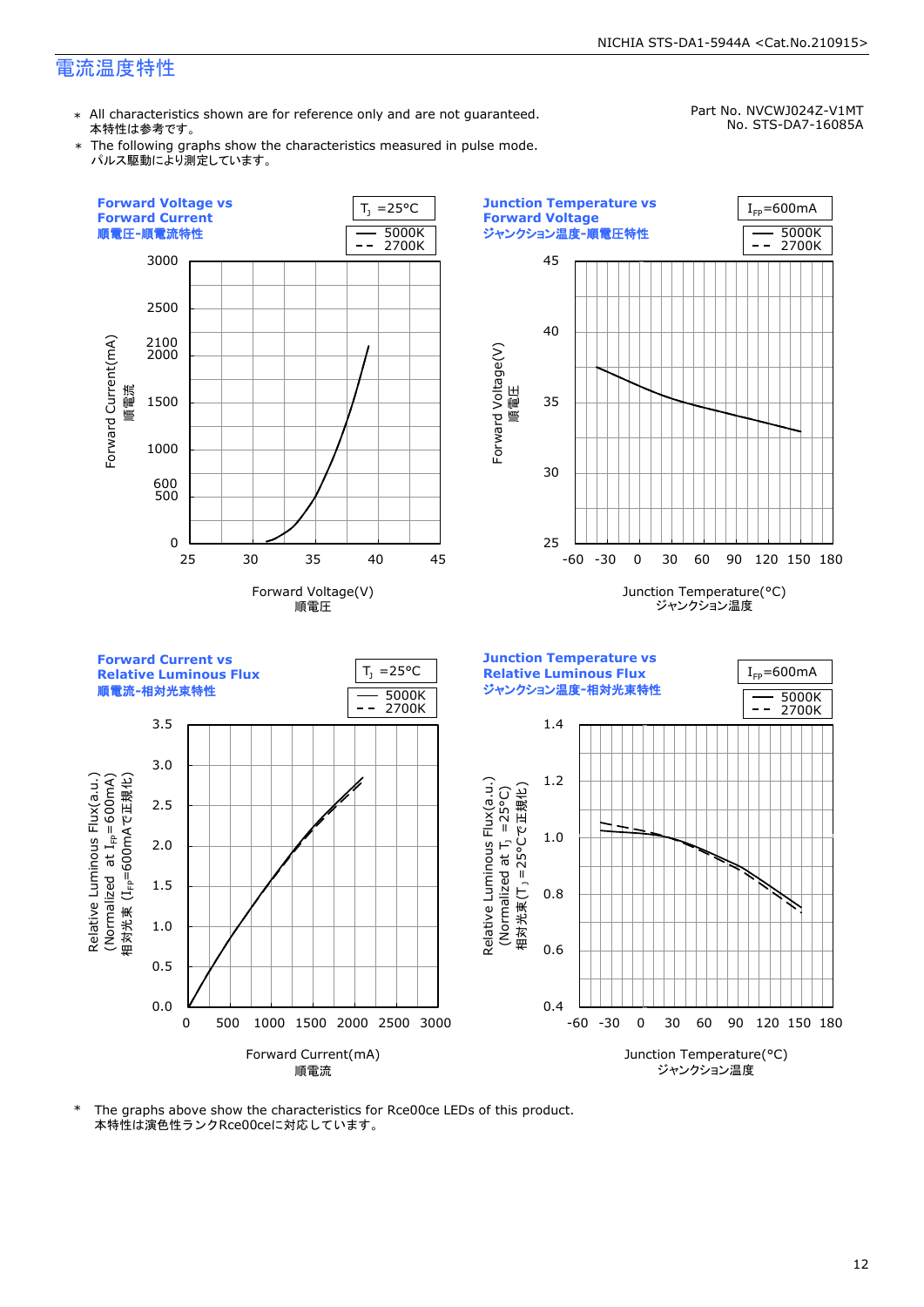## 電流温度特性

\* All characteristics shown are for reference only and are not guaranteed. 本特性は参考です。

Part No. NVCWJ024Z-V1MT No. STS-DA7-16085A

\* The following graphs show the characteristics measured in pulse mode. パルス駆動により測定しています。

![](_page_12_Figure_5.jpeg)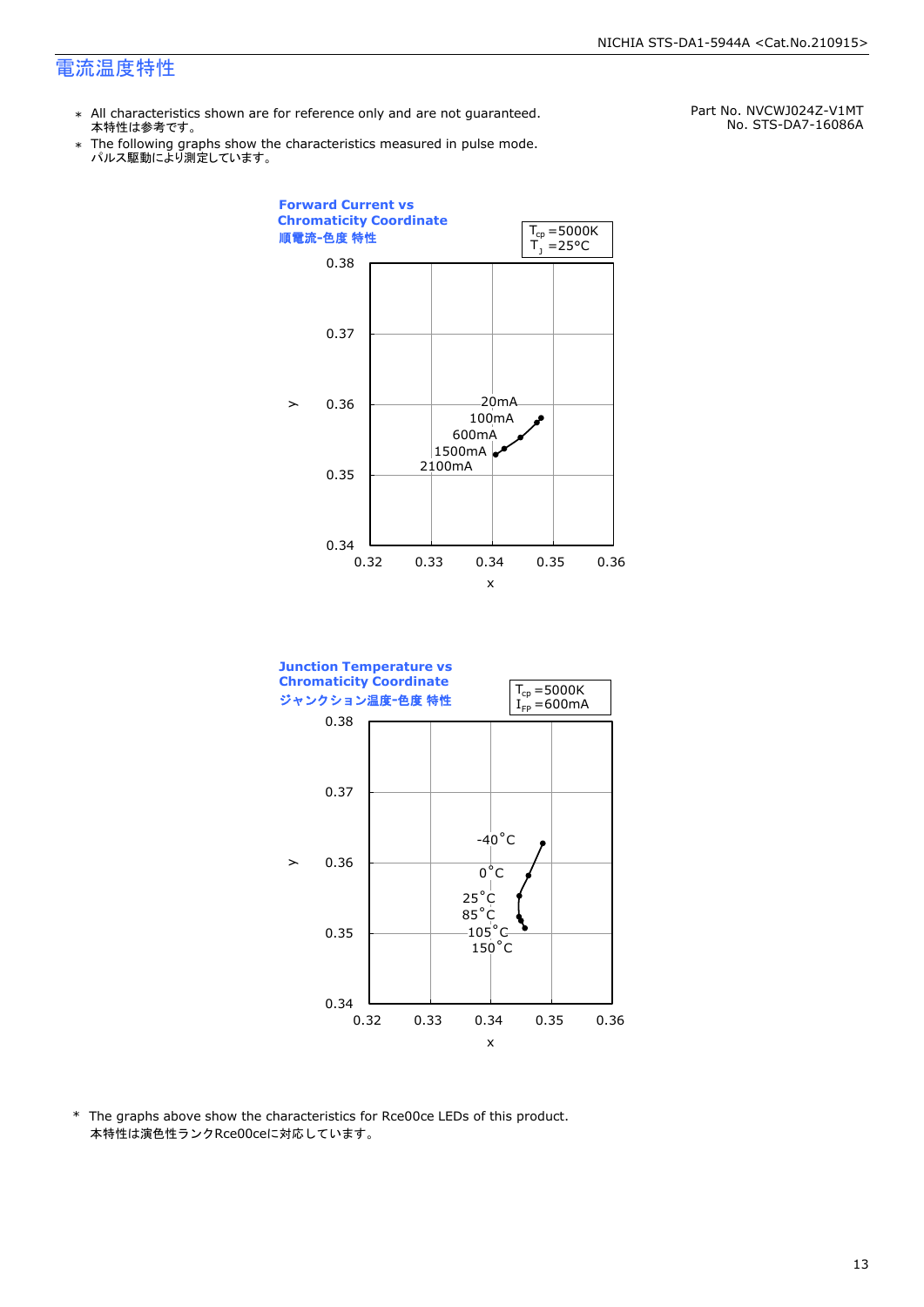### 電流温度特性

- \* All characteristics shown are for reference only and are not guaranteed. 本特性は参考です。
- \* Ine following graphs show th<br>、パルス駆動により測定しています。 The following graphs show the characteristics measured in pulse mode.

Part No. NVCWJ024Z-V1MT No. STS-DA7-16086A

![](_page_13_Figure_5.jpeg)

![](_page_13_Figure_6.jpeg)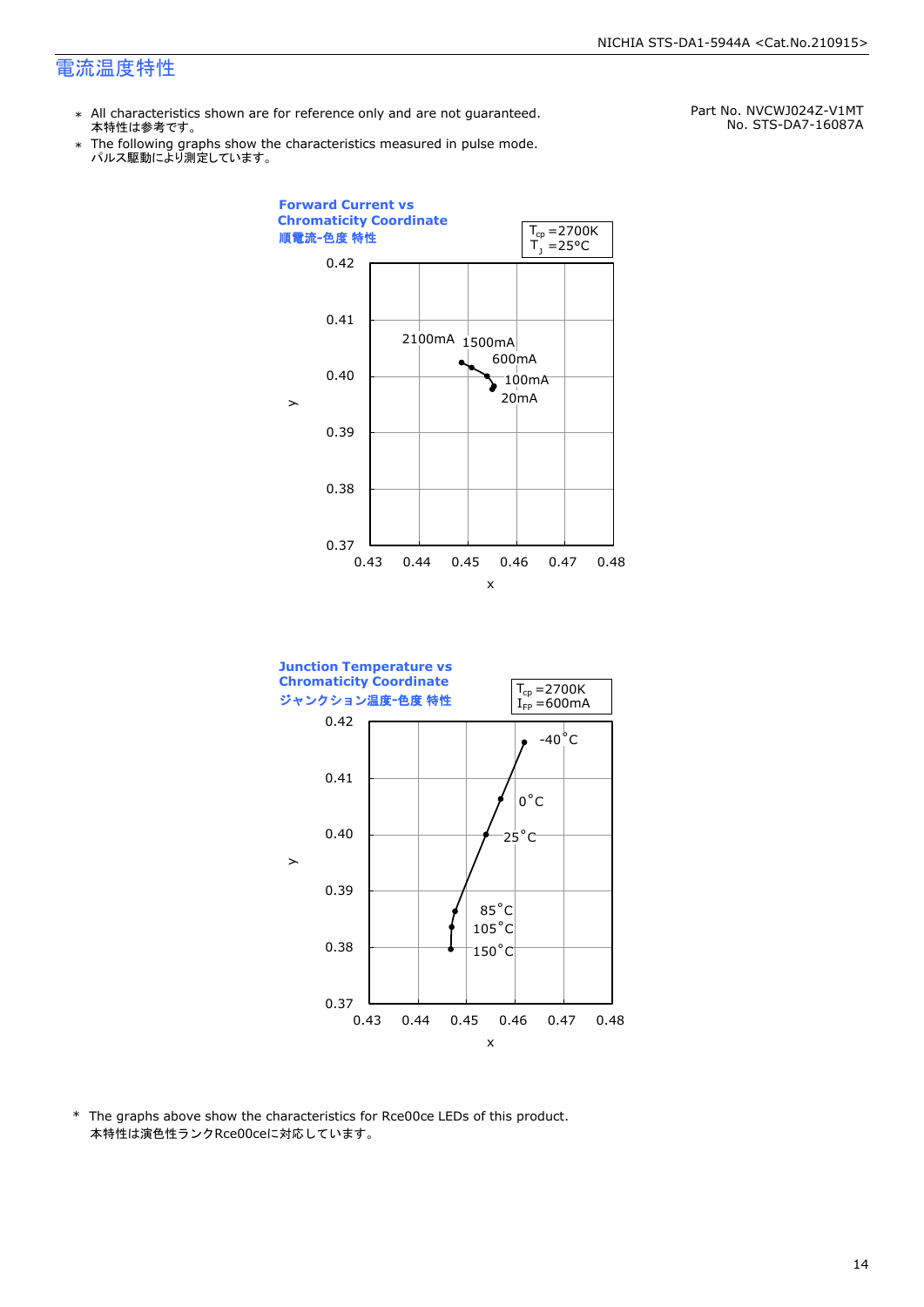### 電流温度特性

- \* All characteristics shown are for reference only and are not guaranteed. 本特性は参考です。
- \* Ine following graphs show th<br>、パルス駆動により測定しています。 The following graphs show the characteristics measured in pulse mode.

Part No. NVCWJ024Z-V1MT No. STS-DA7-16087A

![](_page_14_Figure_5.jpeg)

![](_page_14_Figure_6.jpeg)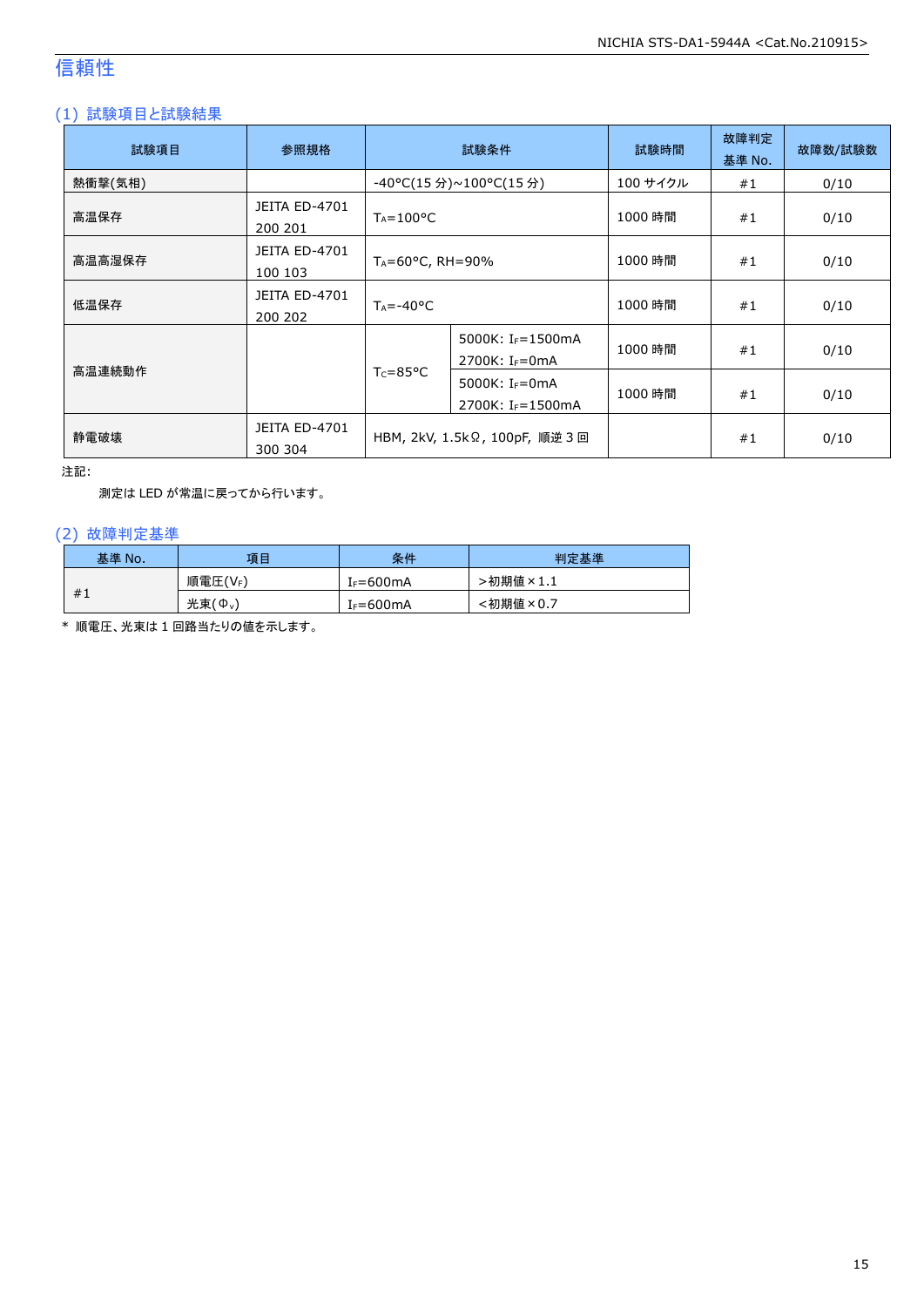# 信頼性

### (1) 試験項目と試験結果

| 試験項目    | 参照規格                            | 試験条件                                                                        |                                                             | 試験時間     | 故障判定<br>基準 No. | 故障数/試験数 |
|---------|---------------------------------|-----------------------------------------------------------------------------|-------------------------------------------------------------|----------|----------------|---------|
| 熱衝撃(気相) |                                 |                                                                             | -40°C(15 分)~100°C(15 分)                                     | 100 サイクル | #1             | 0/10    |
| 高温保存    | <b>JEITA ED-4701</b><br>200 201 | $T_A = 100^{\circ}C$                                                        |                                                             | 1000 時間  | #1             | 0/10    |
| 高温高湿保存  | <b>JEITA ED-4701</b><br>100 103 | $T_A = 60^{\circ}$ C, RH = 90%                                              |                                                             | 1000 時間  | #1             | 0/10    |
| 低温保存    | <b>JEITA ED-4701</b><br>200 202 | $T_A = -40$ °C                                                              |                                                             | 1000 時間  | #1             | 0/10    |
|         |                                 |                                                                             | 5000K: I <sub>F</sub> =1500mA<br>2700K: I <sub>F</sub> =0mA | 1000 時間  | #1             | 0/10    |
| 高温連続動作  |                                 | $T_c = 85^{\circ}C$<br>5000K: $I_F = 0$ mA<br>2700K: I <sub>F</sub> =1500mA |                                                             | 1000 時間  | #1             | 0/10    |
| 静電破壊    | <b>JEITA ED-4701</b><br>300 304 | HBM, 2kV, 1.5kΩ, 100pF, 順逆 3 回                                              |                                                             |          | #1             | 0/10    |

注記:

測定は LED が常温に戻ってから行います。

### (2) 故障判定基準

| 基準 No. | 項目                                       | 条件                    | 判定基準     |
|--------|------------------------------------------|-----------------------|----------|
|        | 順電圧(VF)                                  | IF=600mA              | ·初期値×1.1 |
| #1     | 光束(<br>$^{\prime}$ $\Phi$ <sub>v</sub> , | I <sub>F</sub> =600mA | :初期値×0.7 |

\* 順電圧、光束は 1 回路当たりの値を示します。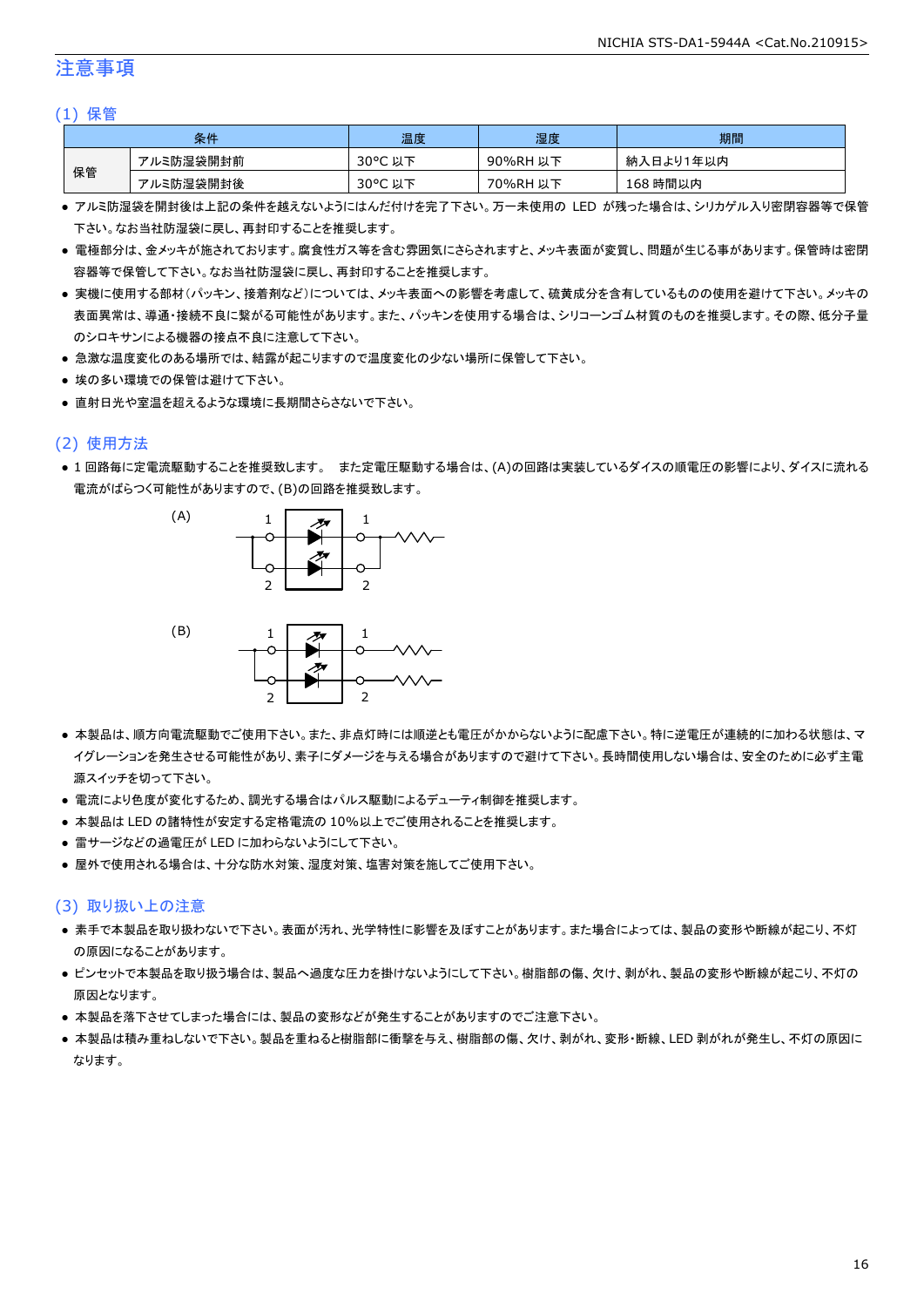### 注意事項

#### (1) 保管

| 条件 |           | 温度      | 湿度       | 期間        |
|----|-----------|---------|----------|-----------|
|    | アルミ防湿袋開封前 | 30°C 以下 | 90%RH 以下 | 納入日より1年以内 |
| 保管 | アルミ防湿袋開封後 | 30°C 以下 | 70%RH 以下 | 168 時間以内  |

- アルミ防湿袋を開封後は上記の条件を越えないようにはんだ付けを完了下さい。万一未使用の LED が残った場合は、シリカゲル入り密閉容器等で保管 下さい。なお当社防湿袋に戻し、再封印することを推奨します。
- 電極部分は、金メッキが施されております。腐食性ガス等を含む雰囲気にさらされますと、メッキ表面が変質し、問題が生じる事があります。保管時は密閉 容器等で保管して下さい。なお当社防湿袋に戻し、再封印することを推奨します。
- 実機に使用する部材(パッキン、接着剤など)については、メッキ表面への影響を考慮して、硫黄成分を含有しているものの使用を避けて下さい。メッキの 表面異常は、導通・接続不良に繋がる可能性があります。また、パッキンを使用する場合は、シリコーンゴム材質のものを推奨します。その際、低分子量 のシロキサンによる機器の接点不良に注意して下さい。
- 急激な温度変化のある場所では、結露が起こりますので温度変化の少ない場所に保管して下さい。
- 埃の多い環境での保管は避けて下さい。
- 直射日光や室温を超えるような環境に長期間さらさないで下さい。

#### (2) 使用方法

● 1 回路毎に定電流駆動することを推奨致します。 また定電圧駆動する場合は、(A)の回路は実装しているダイスの順電圧の影響により、ダイスに流れる 電流がばらつく可能性がありますので、(B)の回路を推奨致します。

![](_page_16_Figure_12.jpeg)

- 本製品は、順方向電流駆動でご使用下さい。また、非点灯時には順逆とも電圧がかからないように配慮下さい。特に逆電圧が連続的に加わる状態は、マ イグレーションを発生させる可能性があり、素子にダメージを与える場合がありますので避けて下さい。長時間使用しない場合は、安全のために必ず主電 源スイッチを切って下さい。
- 電流により色度が変化するため、調光する場合はパルス駆動によるデューティ制御を推奨します。
- 本製品は LED の諸特性が安定する定格電流の 10%以上でご使用されることを推奨します。
- 雷サージなどの過電圧が LED に加わらないようにして下さい。
- 屋外で使用される場合は、十分な防水対策、湿度対策、塩害対策を施してご使用下さい。

#### (3) 取り扱い上の注意

- 素手で本製品を取り扱わないで下さい。表面が汚れ、光学特性に影響を及ぼすことがあります。また場合によっては、製品の変形や断線が起こり、不灯 の原因になることがあります。
- ピンセットで本製品を取り扱う場合は、製品へ過度な圧力を掛けないようにして下さい。樹脂部の傷、欠け、剥がれ、製品の変形や断線が起こり、不灯の 原因となります。
- 本製品を落下させてしまった場合には、製品の変形などが発生することがありますのでご注意下さい。
- 本製品は積み重ねしないで下さい。製品を重ねると樹脂部に衝撃を与え、樹脂部の傷、欠け、剥がれ、変形・断線、LED 剥がれが発生し、不灯の原因に なります。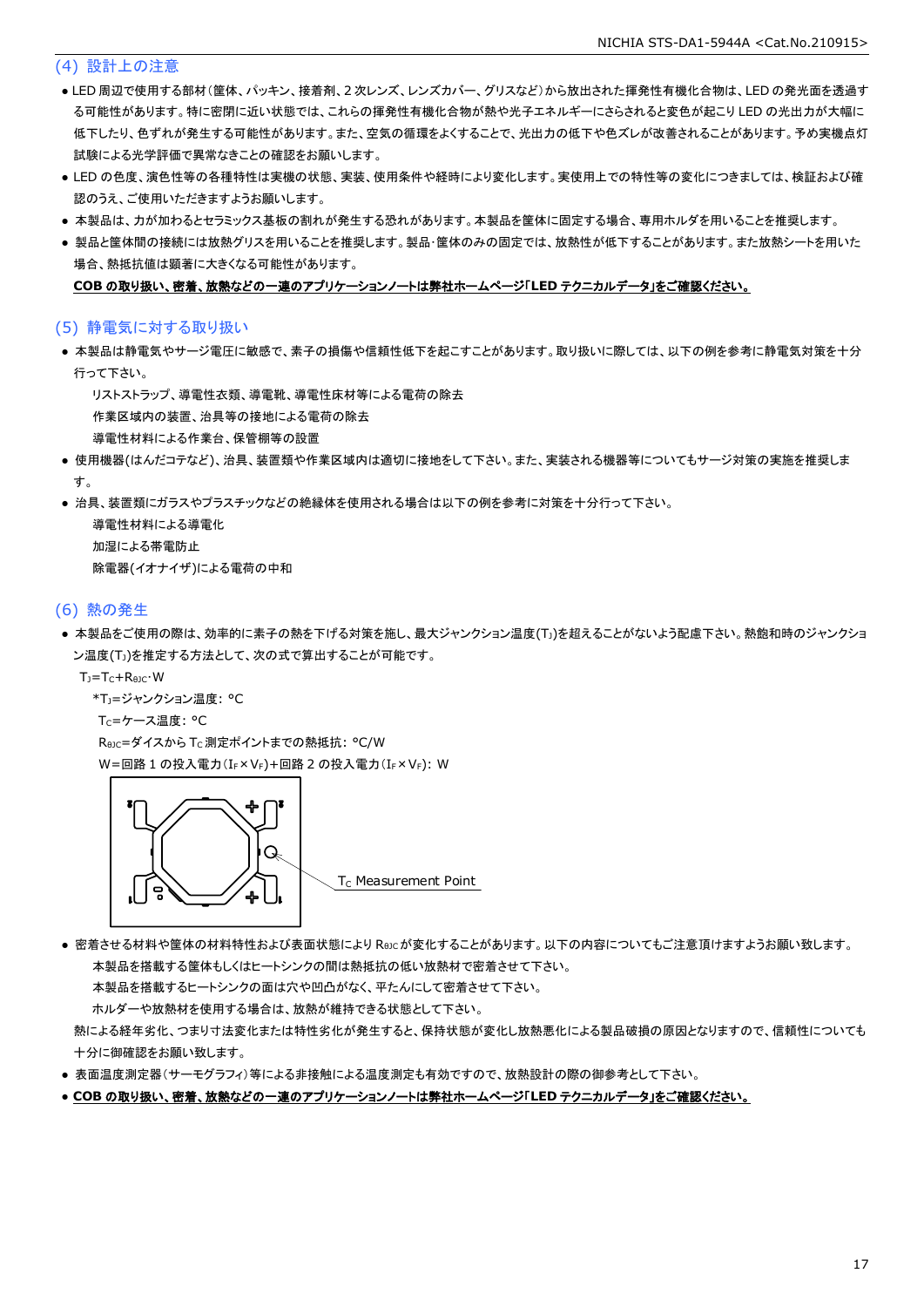#### (4) 設計上の注意

- LED 周辺で使用する部材(筐体、パッキン、接着剤、2 次レンズ、レンズカバー、グリスなど)から放出された揮発性有機化合物は、LED の発光面を透過す る可能性があります。特に密閉に近い状態では、これらの揮発性有機化合物が熱や光子エネルギーにさらされると変色が起こり LED の光出力が大幅に 低下したり、色ずれが発生する可能性があります。また、空気の循環をよくすることで、光出力の低下や色ズレが改善されることがあります。予め実機点灯 試験による光学評価で異常なきことの確認をお願いします。
- LED の色度、演色性等の各種特性は実機の状態、実装、使用条件や経時により変化します。実使用上での特性等の変化につきましては、検証および確 認のうえ、ご使用いただきますようお願いします。
- 本製品は、カが加わるとセラミックス基板の割れが発生する恐れがあります。本製品を筐体に固定する場合、専用ホルダを用いることを推奨します。
- 製品と筐体間の接続には放熱グリスを用いることを推奨します。製品・筐体のみの固定では、放熱性が低下することがあります。また放熱シートを用いた 場合、熱抵抗値は顕著に大きくなる可能性があります。

#### **COB** の取り扱い、密着、放熱などの一連のアプリケーションノートは弊社ホームページ「**LED** テクニカルデータ」をご確認ください。

#### (5) 静電気に対する取り扱い

● 本製品は静電気やサージ電圧に敏感で、素子の損傷や信頼性低下を起こすことがあります。取り扱いに際しては、以下の例を参考に静電気対策を十分 行って下さい。

リストストラップ、導電性衣類、導電靴、導電性床材等による電荷の除去

作業区域内の装置、治具等の接地による電荷の除去

導電性材料による作業台、保管棚等の設置

- 使用機器(はんだコテなど)、治具、装置類や作業区域内は適切に接地をして下さい。また、実装される機器等についてもサージ対策の実施を推奨しま す。
- 治具、装置類にガラスやプラスチックなどの絶縁体を使用される場合は以下の例を参考に対策を十分行って下さい。

 導電性材料による導電化 加湿による帯電防止 除電器(イオナイザ)による電荷の中和

#### (6) 熱の発生

● 本製品をご使用の際は、効率的に素子の熱を下げる対策を施し、最大ジャンクション温度(T))を超えることがないよう配慮下さい。熱飽和時のジャンクショ ン温度(T<sub>J</sub>)を推定する方法として、次の式で算出することが可能です。

TJ=TC+RθJC・W

- \*TJ=ジャンクション温度: °C
- T<sub>C</sub>=ケース温度: °C

ReJC=ダイスから Tc 測定ポイントまでの熱抵抗: °C/W W=回路 1 の投入電力(IF × VF)+回路 2 の投入電力(IF × VF): W

![](_page_17_Picture_21.jpeg)

 $T_c$  Measurement Point

● 密着させる材料や筐体の材料特性および表面状態により Reicが変化することがあります。以下の内容についてもご注意頂けますようお願い致します。 本製品を搭載する筐体もしくはヒートシンクの間は熱抵抗の低い放熱材で密着させて下さい。

本製品を搭載するヒートシンクの面は穴や凹凸がなく、平たんにして密着させて下さい。

ホルダーや放熱材を使用する場合は、放熱が維持できる状態として下さい。

 熱による経年劣化、つまり寸法変化または特性劣化が発生すると、保持状態が変化し放熱悪化による製品破損の原因となりますので、信頼性についても 十分に御確認をお願い致します。

- 表面温度測定器(サーモグラフィ)等による非接触による温度測定も有効ですので、放熱設計の際の御参考として下さい。
- **COB** の取り扱い、密着、放熱などの一連のアプリケーションノートは弊社ホームページ「**LED** テクニカルデータ」をご確認ください。